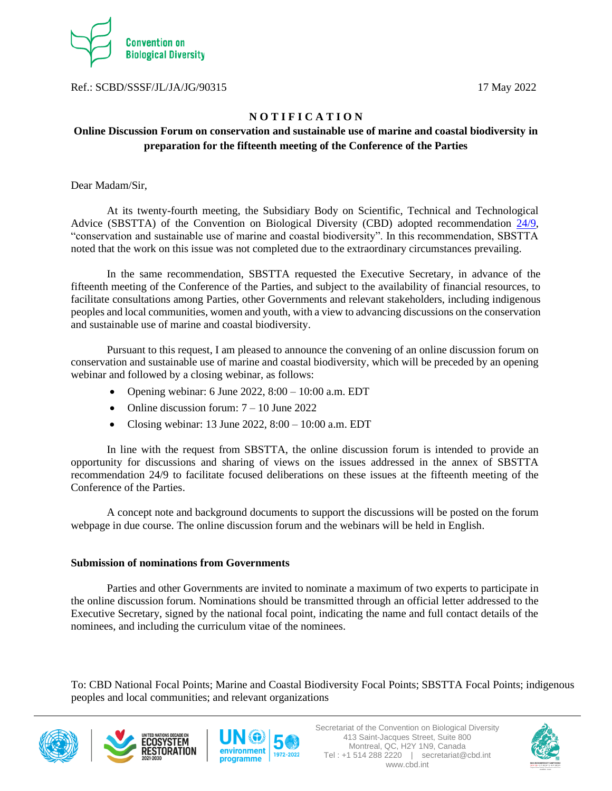

Ref.: SCBD/SSSF/JL/JA/JG/90315 17 May 2022

## **N O T I F I C A T I O N**

## **Online Discussion Forum on conservation and sustainable use of marine and coastal biodiversity in preparation for the fifteenth meeting of the Conference of the Parties**

Dear Madam/Sir,

At its twenty-fourth meeting, the Subsidiary Body on Scientific, Technical and Technological Advice (SBSTTA) of the Convention on Biological Diversity (CBD) adopted recommendation [24/9,](https://www.cbd.int/doc/recommendations/sbstta-24/sbstta-24-rec-09-en.pdf) "conservation and sustainable use of marine and coastal biodiversity". In this recommendation, SBSTTA noted that the work on this issue was not completed due to the extraordinary circumstances prevailing.

In the same recommendation, SBSTTA requested the Executive Secretary, in advance of the fifteenth meeting of the Conference of the Parties, and subject to the availability of financial resources, to facilitate consultations among Parties, other Governments and relevant stakeholders, including indigenous peoples and local communities, women and youth, with a view to advancing discussions on the conservation and sustainable use of marine and coastal biodiversity.

Pursuant to this request, I am pleased to announce the convening of an online discussion forum on conservation and sustainable use of marine and coastal biodiversity, which will be preceded by an opening webinar and followed by a closing webinar, as follows:

- Opening webinar: 6 June 2022,  $8:00 10:00$  a.m. EDT
- Online discussion forum:  $7 10$  June 2022
- Closing webinar: 13 June 2022,  $8:00 10:00$  a.m. EDT

In line with the request from SBSTTA, the online discussion forum is intended to provide an opportunity for discussions and sharing of views on the issues addressed in the annex of SBSTTA recommendation 24/9 to facilitate focused deliberations on these issues at the fifteenth meeting of the Conference of the Parties.

A concept note and background documents to support the discussions will be posted on the forum webpage in due course. The online discussion forum and the webinars will be held in English.

## **Submission of nominations from Governments**

Parties and other Governments are invited to nominate a maximum of two experts to participate in the online discussion forum. Nominations should be transmitted through an official letter addressed to the Executive Secretary, signed by the national focal point, indicating the name and full contact details of the nominees, and including the curriculum vitae of the nominees.

To: CBD National Focal Points; Marine and Coastal Biodiversity Focal Points; SBSTTA Focal Points; indigenous peoples and local communities; and relevant organizations